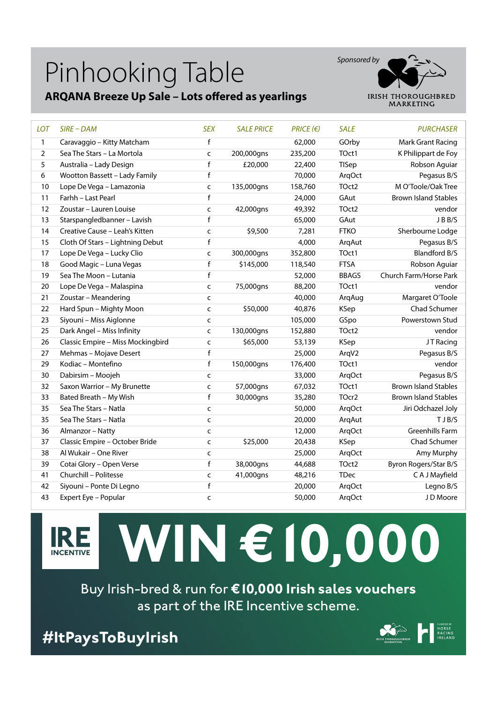### Pinhooking Table

#### **ARQANA Breeze Up Sale – Lots offered as yearlings**



| LOT            | $SIRE$ – DAM                      | <b>SEX</b>   | <b>SALE PRICE</b> | $PRICE$ ( $\epsilon$ ) | <b>SALE</b>       | <b>PURCHASER</b>            |
|----------------|-----------------------------------|--------------|-------------------|------------------------|-------------------|-----------------------------|
| $\mathbf{1}$   | Caravaggio - Kitty Matcham        | $\mathsf f$  |                   | 62,000                 | GOrby             | Mark Grant Racing           |
| $\overline{2}$ | Sea The Stars - La Mortola        | $\mathsf{C}$ | 200,000gns        | 235,200                | TOct1             | K Philippart de Foy         |
| 5              | Australia - Lady Design           | $\mathsf{f}$ | £20,000           | 22,400                 | <b>TISep</b>      | Robson Aguiar               |
| 6              | Wootton Bassett - Lady Family     | $\mathsf{f}$ |                   | 70,000                 | ArqOct            | Pegasus B/S                 |
| 10             | Lope De Vega - Lamazonia          | $\mathsf{C}$ | 135,000gns        | 158,760                | TOct2             | M O'Toole/Oak Tree          |
| 11             | Farhh - Last Pearl                | f            |                   | 24,000                 | GAut              | <b>Brown Island Stables</b> |
| 12             | Zoustar - Lauren Louise           | $\mathsf{C}$ | 42,000gns         | 49,392                 | TOct2             | vendor                      |
| 13             | Starspangledbanner - Lavish       | $\mathsf f$  |                   | 65,000                 | GAut              | JBB/S                       |
| 14             | Creative Cause - Leah's Kitten    | $\mathsf{C}$ | \$9,500           | 7,281                  | <b>FTKO</b>       | Sherbourne Lodge            |
| 15             | Cloth Of Stars - Lightning Debut  | $\mathsf f$  |                   | 4,000                  | ArqAut            | Pegasus B/S                 |
| 17             | Lope De Vega - Lucky Clio         | $\mathsf{C}$ | 300,000gns        | 352,800                | TOct1             | <b>Blandford B/S</b>        |
| 18             | Good Magic - Luna Vegas           | $\mathsf f$  | \$145,000         | 118,540                | <b>FTSA</b>       | Robson Aguiar               |
| 19             | Sea The Moon - Lutania            | $\mathsf f$  |                   | 52,000                 | <b>BBAGS</b>      | Church Farm/Horse Park      |
| 20             | Lope De Vega - Malaspina          | $\mathsf{C}$ | 75,000gns         | 88,200                 | TOct1             | vendor                      |
| 21             | Zoustar - Meandering              | $\mathsf{C}$ |                   | 40,000                 | ArqAug            | Margaret O'Toole            |
| 22             | Hard Spun - Mighty Moon           | $\mathsf{C}$ | \$50,000          | 40,876                 | <b>KSep</b>       | Chad Schumer                |
| 23             | Siyouni - Miss Aiglonne           | $\mathsf{C}$ |                   | 105,000                | GSpo              | Powerstown Stud             |
| 25             | Dark Angel - Miss Infinity        | $\mathsf{C}$ | 130,000gns        | 152,880                | TOct <sub>2</sub> | vendor                      |
| 26             | Classic Empire - Miss Mockingbird | $\mathsf{C}$ | \$65,000          | 53,139                 | <b>KSep</b>       | JT Racing                   |
| 27             | Mehmas - Mojave Desert            | $\mathsf{f}$ |                   | 25,000                 | ArqV2             | Pegasus B/S                 |
| 29             | Kodiac - Montefino                | $\mathsf f$  | 150,000gns        | 176,400                | TOct1             | vendor                      |
| 30             | Dabirsim - Moojeh                 | $\mathsf{C}$ |                   | 33,000                 | ArgOct            | Pegasus B/S                 |
| 32             | Saxon Warrior - My Brunette       | $\mathsf{C}$ | 57,000gns         | 67,032                 | TOct1             | <b>Brown Island Stables</b> |
| 33             | Bated Breath - My Wish            | $\mathsf f$  | 30,000gns         | 35,280                 | TOcr <sub>2</sub> | <b>Brown Island Stables</b> |
| 35             | Sea The Stars - Natla             | $\mathsf{C}$ |                   | 50,000                 | ArgOct            | Jiri Odchazel Joly          |
| 35             | Sea The Stars - Natla             | $\mathsf{C}$ |                   | 20,000                 | ArqAut            | TJB/S                       |
| 36             | Almanzor - Natty                  | $\mathsf{C}$ |                   | 12,000                 | ArgOct            | <b>Greenhills Farm</b>      |
| 37             | Classic Empire - October Bride    | $\mathsf{C}$ | \$25,000          | 20,438                 | <b>KSep</b>       | Chad Schumer                |
| 38             | Al Wukair - One River             | $\mathsf{C}$ |                   | 25,000                 | ArqOct            | Amy Murphy                  |
| 39             | Cotai Glory - Open Verse          | $\mathsf f$  | 38,000gns         | 44,688                 | TOct2             | Byron Rogers/Star B/S       |
| 41             | Churchill - Politesse             | $\mathsf{C}$ | 41,000gns         | 48,216                 | <b>TDec</b>       | C A J Mayfield              |
| 42             | Siyouni - Ponte Di Legno          | $\mathsf{f}$ |                   | 20,000                 | ArgOct            | Legno B/S                   |
| 43             | Expert Eye - Popular              | $\mathsf{C}$ |                   | 50,000                 | ArqOct            | J D Moore                   |



# **WIN €10,000**

Buy Irish-bred & run for **€10,000 Irish sales vouchers** as part of the IRE Incentive scheme.

**#ItPaysToBuyIrish**

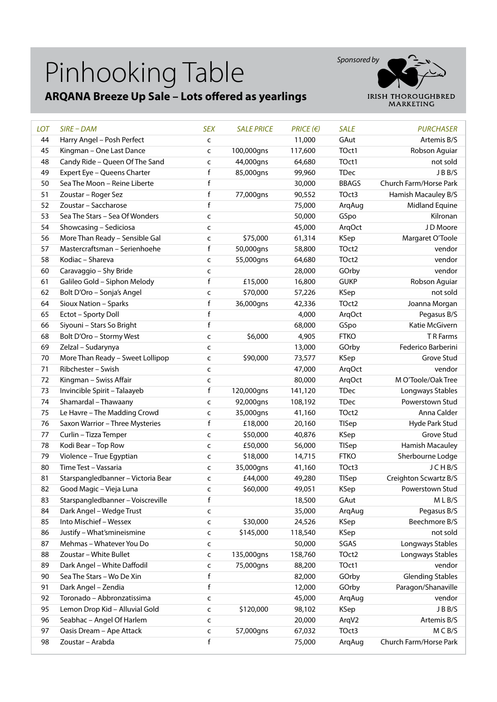## Pinhooking Table

#### **ARQANA Breeze Up Sale – Lots offered as yearlings**



| <b>LOT</b> | SIRE - DAM                         | <b>SEX</b>   | <b>SALE PRICE</b> | $PRICE$ ( $\varepsilon$ ) | <b>SALE</b>  | <b>PURCHASER</b>        |
|------------|------------------------------------|--------------|-------------------|---------------------------|--------------|-------------------------|
| 44         | Harry Angel - Posh Perfect         | $\mathsf{C}$ |                   | 11,000                    | GAut         | Artemis B/S             |
| 45         | Kingman - One Last Dance           | $\mathsf{C}$ | 100,000gns        | 117,600                   | TOct1        | Robson Aguiar           |
| 48         | Candy Ride - Queen Of The Sand     | C            | 44,000gns         | 64,680                    | TOct1        | not sold                |
| 49         | Expert Eye - Queens Charter        | f            | 85,000gns         | 99,960                    | <b>TDec</b>  | JBB/S                   |
| 50         | Sea The Moon - Reine Liberte       | f            |                   | 30,000                    | <b>BBAGS</b> | Church Farm/Horse Park  |
| 51         | Zoustar - Roger Sez                | $\sf f$      | 77,000gns         | 90,552                    | TOct3        | Hamish Macauley B/S     |
| 52         | Zoustar - Saccharose               | f            |                   | 75,000                    | ArqAug       | Midland Equine          |
| 53         | Sea The Stars - Sea Of Wonders     | $\mathsf{C}$ |                   | 50,000                    | GSpo         | Kilronan                |
| 54         | Showcasing - Sediciosa             | C            |                   | 45,000                    | ArqOct       | J D Moore               |
| 56         | More Than Ready - Sensible Gal     | C            | \$75,000          | 61,314                    | KSep         | Margaret O'Toole        |
| 57         | Mastercraftsman - Serienhoehe      | $\mathsf f$  | 50,000gns         | 58,800                    | TOct2        | vendor                  |
| 58         | Kodiac - Shareva                   | $\mathsf{C}$ | 55,000gns         | 64,680                    | TOct2        | vendor                  |
| 60         | Caravaggio - Shy Bride             | C            |                   | 28,000                    | GOrby        | vendor                  |
| 61         | Galileo Gold - Siphon Melody       | f            | £15,000           | 16,800                    | <b>GUKP</b>  | Robson Aguiar           |
| 62         | Bolt D'Oro - Sonja's Angel         | C            | \$70,000          | 57,226                    | KSep         | not sold                |
| 64         | Sioux Nation - Sparks              | $\mathsf f$  | 36,000gns         | 42,336                    | TOct2        | Joanna Morgan           |
| 65         | Ectot - Sporty Doll                | $\mathsf f$  |                   | 4,000                     | ArqOct       | Pegasus B/S             |
| 66         | Siyouni - Stars So Bright          | f            |                   | 68,000                    | GSpo         | Katie McGivern          |
| 68         | Bolt D'Oro - Stormy West           | $\mathsf{C}$ | \$6,000           | 4,905                     | <b>FTKO</b>  | T R Farms               |
| 69         | Zelzal - Sudarynya                 | $\mathsf{C}$ |                   | 13,000                    | GOrby        | Federico Barberini      |
| 70         | More Than Ready - Sweet Lollipop   |              | \$90,000          | 73,577                    | KSep         | Grove Stud              |
|            |                                    | c            |                   |                           |              |                         |
| 71         | Ribchester - Swish                 | $\mathsf{C}$ |                   | 47,000                    | ArqOct       | vendor                  |
| 72         | Kingman - Swiss Affair             | $\mathsf{C}$ |                   | 80,000                    | ArgOct       | M O'Toole/Oak Tree      |
| 73         | Invincible Spirit - Talaayeb       | f            | 120,000gns        | 141,120                   | <b>TDec</b>  | Longways Stables        |
| 74         | Shamardal - Thawaany               | $\mathsf{C}$ | 92,000gns         | 108,192                   | <b>TDec</b>  | Powerstown Stud         |
| 75         | Le Havre - The Madding Crowd       | C            | 35,000gns         | 41,160                    | TOct2        | Anna Calder             |
| 76         | Saxon Warrior - Three Mysteries    | $\mathsf f$  | £18,000           | 20,160                    | TISep        | Hyde Park Stud          |
| 77         | Curlin - Tizza Temper              | $\mathsf{C}$ | \$50,000          | 40,876                    | KSep         | Grove Stud              |
| 78         | Kodi Bear - Top Row                | C            | £50,000           | 56,000                    | <b>TISep</b> | Hamish Macauley         |
| 79         | Violence - True Egyptian           | $\mathsf{C}$ | \$18,000          | 14,715                    | <b>FTKO</b>  | Sherbourne Lodge        |
| 80         | Time Test - Vassaria               | $\mathsf{C}$ | 35,000gns         | 41,160                    | TOct3        | JCHB/S                  |
| 81         | Starspangledbanner - Victoria Bear | c            | £44,000           | 49,280                    | <b>TISep</b> | Creighton Scwartz B/S   |
| 82         | Good Magic - Vieja Luna            | $\mathsf{C}$ | \$60,000          | 49,051                    | KSep         | Powerstown Stud         |
| 83         | Starspangledbanner - Voiscreville  | f            |                   | 18,500                    | GAut         | $M$ L B/S               |
| 84         | Dark Angel - Wedge Trust           | c            |                   | 35,000                    | ArqAug       | Pegasus B/S             |
| 85         | Into Mischief - Wessex             | $\mathsf{C}$ | \$30,000          | 24,526                    | KSep         | Beechmore B/S           |
| 86         | Justify - What'smineismine         | C            | \$145,000         | 118,540                   | KSep         | not sold                |
| 87         | Mehmas - Whatever You Do           | c            |                   | 50,000                    | SGAS         | Longways Stables        |
| 88         | Zoustar - White Bullet             | C            | 135,000gns        | 158,760                   | TOct2        | Longways Stables        |
| 89         | Dark Angel - White Daffodil        | $\mathsf{C}$ | 75,000gns         | 88,200                    | TOct1        | vendor                  |
| 90         | Sea The Stars - Wo De Xin          | f            |                   | 82,000                    | GOrby        | <b>Glending Stables</b> |
| 91         | Dark Angel - Zendia                | $\mathsf f$  |                   | 12,000                    | GOrby        | Paragon/Shanaville      |
| 92         | Toronado - Abbronzatissima         | C            |                   | 45,000                    | ArqAug       | vendor                  |
| 95         | Lemon Drop Kid - Alluvial Gold     | c            | \$120,000         | 98,102                    | <b>KSep</b>  | J B B/S                 |
| 96         | Seabhac - Angel Of Harlem          | c            |                   | 20,000                    | ArqV2        | Artemis B/S             |
| 97         | Oasis Dream - Ape Attack           | c            | 57,000gns         | 67,032                    | TOct3        | M C B/S                 |
| 98         | Zoustar - Arabda                   | f            |                   | 75,000                    | ArqAug       | Church Farm/Horse Park  |
|            |                                    |              |                   |                           |              |                         |